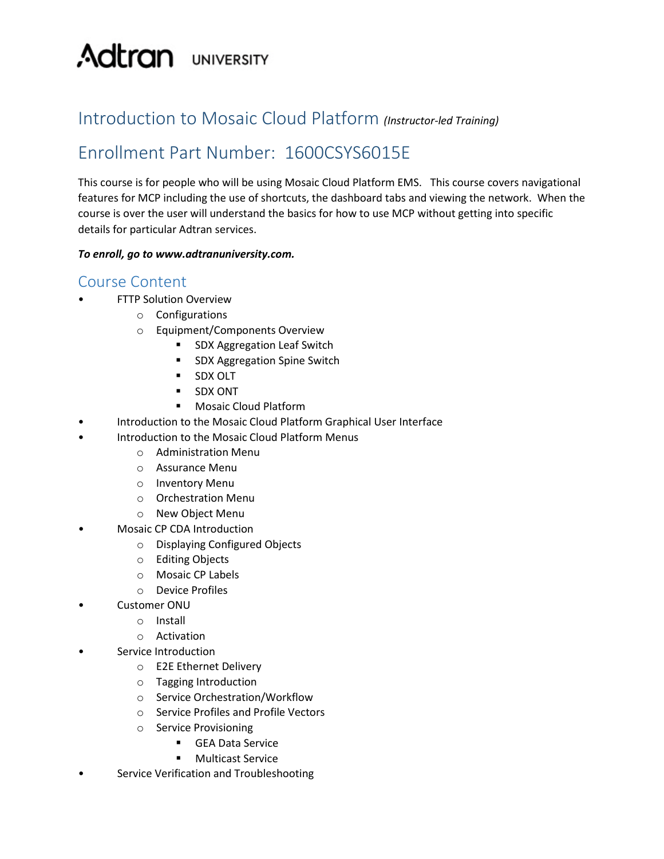# **Adtran** UNIVERSITY

## Introduction to Mosaic Cloud Platform *(Instructor-led Training)*

## Enrollment Part Number: 1600CSYS6015E

This course is for people who will be using Mosaic Cloud Platform EMS. This course covers navigational features for MCP including the use of shortcuts, the dashboard tabs and viewing the network. When the course is over the user will understand the basics for how to use MCP without getting into specific details for particular Adtran services.

#### *To enroll, go to www.adtranuniversity.com.*

#### Course Content

- **FTTP Solution Overview** 
	- o Configurations
	- o Equipment/Components Overview
		- **SDX Aggregation Leaf Switch**
		- **SDX Aggregation Spine Switch**
		- SDX OLT
		- **SDX ONT**
		- Mosaic Cloud Platform
- Introduction to the Mosaic Cloud Platform Graphical User Interface
- Introduction to the Mosaic Cloud Platform Menus
	- o Administration Menu
	- o Assurance Menu
	- o Inventory Menu
	- o Orchestration Menu
	- o New Object Menu
- Mosaic CP CDA Introduction
	- o Displaying Configured Objects
	- o Editing Objects
	- o Mosaic CP Labels
	- o Device Profiles
- Customer ONU
	- o Install
	- o Activation
- Service Introduction
	- o E2E Ethernet Delivery
	- o Tagging Introduction
	- o Service Orchestration/Workflow
	- o Service Profiles and Profile Vectors
	- o Service Provisioning
		- **GEA Data Service**
		- **Multicast Service**
- Service Verification and Troubleshooting